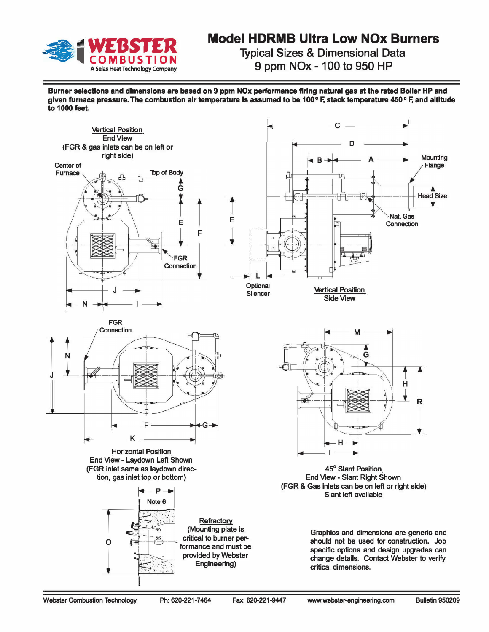

## **Model HDRMB Ultra Low NOx Burners Typical Sizes & Dimensional Data 9 ppm NOx- 100 to 950 HP**

**Burner selectlons and dimensions are based on 9 ppm NOx performance firing natural gas at the rated Boller HP and given furnace pressure. The combustion air temperature Is assumed to be 100 ° F, stack temperature 450 ° F, and altltude to 1000 feet.**